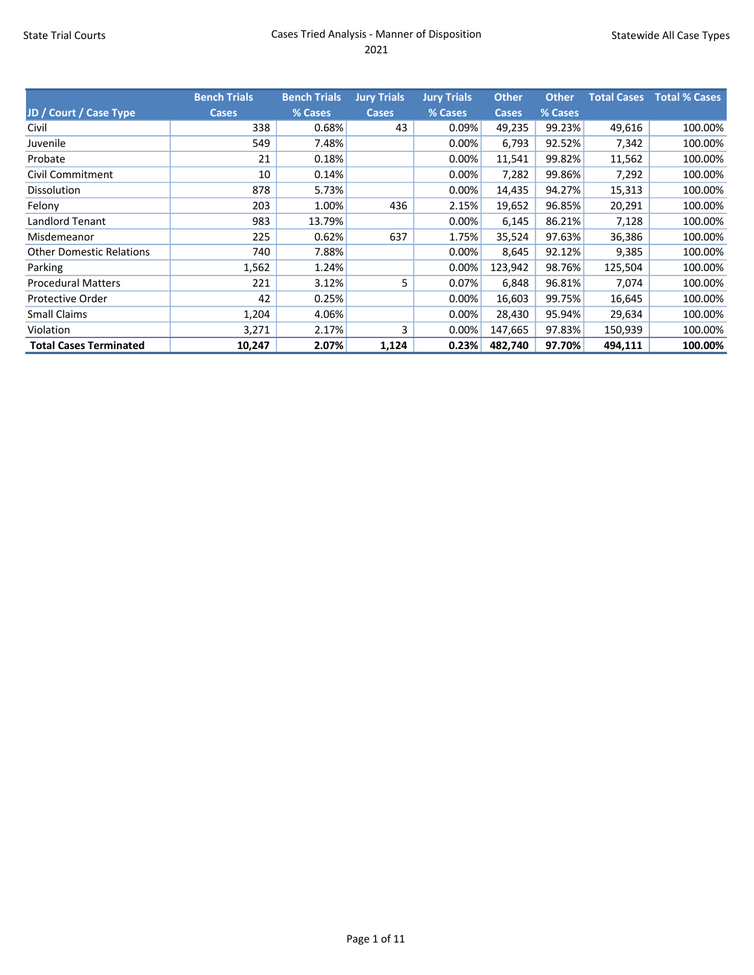|                                 | <b>Bench Trials</b> | <b>Bench Trials</b> | <b>Jury Trials</b> | <b>Jury Trials</b> | <b>Other</b> | <b>Other</b> | <b>Total Cases</b> | <b>Total % Cases</b> |
|---------------------------------|---------------------|---------------------|--------------------|--------------------|--------------|--------------|--------------------|----------------------|
| JD / Court / Case Type          | <b>Cases</b>        | % Cases             | <b>Cases</b>       | % Cases            | <b>Cases</b> | % Cases      |                    |                      |
| Civil                           | 338                 | 0.68%               | 43                 | 0.09%              | 49,235       | 99.23%       | 49,616             | 100.00%              |
| Juvenile                        | 549                 | 7.48%               |                    | $0.00\%$           | 6,793        | 92.52%       | 7,342              | 100.00%              |
| Probate                         | 21                  | 0.18%               |                    | 0.00%              | 11,541       | 99.82%       | 11,562             | 100.00%              |
| Civil Commitment                | 10                  | 0.14%               |                    | 0.00%              | 7,282        | 99.86%       | 7,292              | 100.00%              |
| <b>Dissolution</b>              | 878                 | 5.73%               |                    | 0.00%              | 14,435       | 94.27%       | 15,313             | 100.00%              |
| Felony                          | 203                 | 1.00%               | 436                | 2.15%              | 19,652       | 96.85%       | 20,291             | 100.00%              |
| Landlord Tenant                 | 983                 | 13.79%              |                    | 0.00%              | 6,145        | 86.21%       | 7,128              | 100.00%              |
| Misdemeanor                     | 225                 | 0.62%               | 637                | 1.75%              | 35,524       | 97.63%       | 36,386             | 100.00%              |
| <b>Other Domestic Relations</b> | 740                 | 7.88%               |                    | 0.00%              | 8,645        | 92.12%       | 9,385              | 100.00%              |
| Parking                         | 1,562               | 1.24%               |                    | 0.00%              | 123,942      | 98.76%       | 125,504            | 100.00%              |
| <b>Procedural Matters</b>       | 221                 | 3.12%               | 5                  | 0.07%              | 6,848        | 96.81%       | 7,074              | 100.00%              |
| Protective Order                | 42                  | 0.25%               |                    | $0.00\%$           | 16,603       | 99.75%       | 16,645             | 100.00%              |
| <b>Small Claims</b>             | 1,204               | 4.06%               |                    | 0.00%              | 28,430       | 95.94%       | 29,634             | 100.00%              |
| Violation                       | 3,271               | 2.17%               | 3                  | $0.00\%$           | 147,665      | 97.83%       | 150,939            | 100.00%              |
| <b>Total Cases Terminated</b>   | 10,247              | 2.07%               | 1,124              | 0.23%              | 482,740      | 97.70%       | 494,111            | 100.00%              |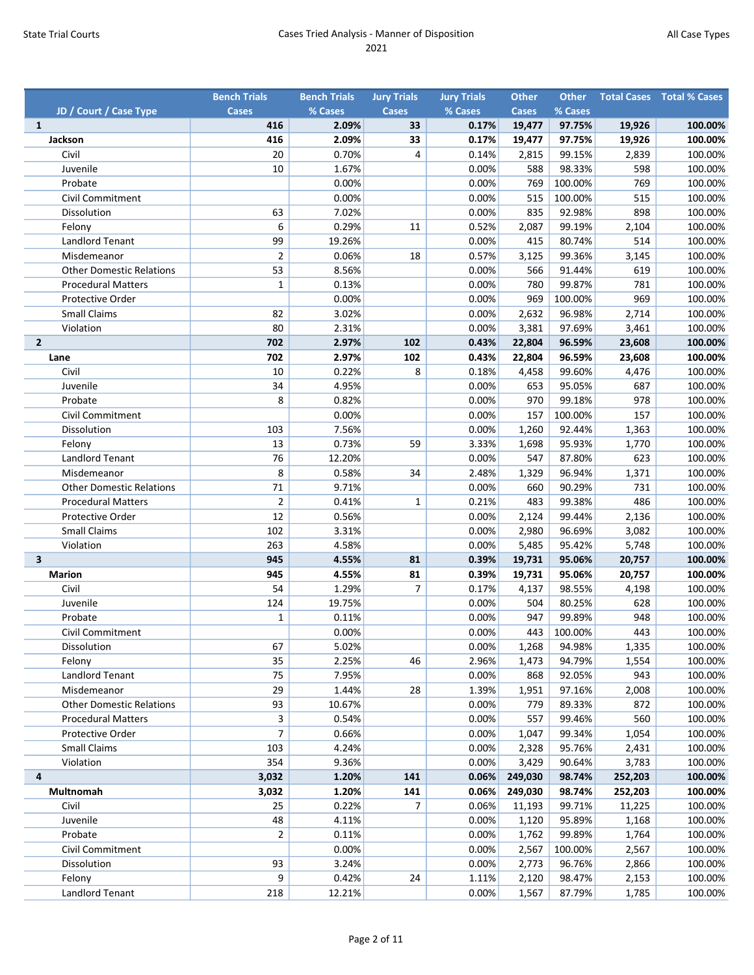|                                 | <b>Bench Trials</b> | <b>Bench Trials</b> | <b>Jury Trials</b> | <b>Jury Trials</b> | <b>Other</b> | <b>Other</b> |         | <b>Total Cases Total % Cases</b> |
|---------------------------------|---------------------|---------------------|--------------------|--------------------|--------------|--------------|---------|----------------------------------|
| JD / Court / Case Type          | <b>Cases</b>        | % Cases             | <b>Cases</b>       | % Cases            | <b>Cases</b> | % Cases      |         |                                  |
| $\mathbf{1}$                    | 416                 | 2.09%               | 33                 | 0.17%              | 19,477       | 97.75%       | 19,926  | 100.00%                          |
| Jackson                         | 416                 | 2.09%               | 33                 | 0.17%              | 19,477       | 97.75%       | 19,926  | 100.00%                          |
| Civil                           | 20                  | 0.70%               | 4                  | 0.14%              | 2,815        | 99.15%       | 2,839   | 100.00%                          |
| Juvenile                        | 10                  | 1.67%               |                    | 0.00%              | 588          | 98.33%       | 598     | 100.00%                          |
| Probate                         |                     | 0.00%               |                    | 0.00%              | 769          | 100.00%      | 769     | 100.00%                          |
| Civil Commitment                |                     | 0.00%               |                    | 0.00%              | 515          | 100.00%      | 515     | 100.00%                          |
| Dissolution                     | 63                  | 7.02%               |                    | 0.00%              | 835          | 92.98%       | 898     | 100.00%                          |
| Felony                          | 6                   | 0.29%               | 11                 | 0.52%              | 2,087        | 99.19%       | 2,104   | 100.00%                          |
| <b>Landlord Tenant</b>          | 99                  | 19.26%              |                    | 0.00%              | 415          | 80.74%       | 514     | 100.00%                          |
| Misdemeanor                     | $\overline{2}$      | 0.06%               | 18                 | 0.57%              | 3,125        | 99.36%       | 3,145   | 100.00%                          |
| <b>Other Domestic Relations</b> | 53                  | 8.56%               |                    | 0.00%              | 566          | 91.44%       | 619     | 100.00%                          |
| <b>Procedural Matters</b>       | $\mathbf{1}$        | 0.13%               |                    | 0.00%              | 780          | 99.87%       | 781     | 100.00%                          |
| <b>Protective Order</b>         |                     | 0.00%               |                    | 0.00%              | 969          | 100.00%      | 969     | 100.00%                          |
| <b>Small Claims</b>             | 82                  | 3.02%               |                    | 0.00%              | 2,632        | 96.98%       | 2,714   | 100.00%                          |
| Violation                       | 80                  | 2.31%               |                    | 0.00%              | 3,381        | 97.69%       | 3,461   | 100.00%                          |
| $\mathbf{2}$                    | 702                 | 2.97%               | 102                | 0.43%              | 22,804       | 96.59%       | 23,608  | 100.00%                          |
| Lane                            | 702                 | 2.97%               | 102                | 0.43%              | 22,804       | 96.59%       | 23,608  | 100.00%                          |
| Civil                           | 10                  | 0.22%               | 8                  | 0.18%              | 4,458        | 99.60%       | 4,476   | 100.00%                          |
| Juvenile                        | 34                  | 4.95%               |                    | 0.00%              | 653          | 95.05%       | 687     | 100.00%                          |
| Probate                         | 8                   | 0.82%               |                    | 0.00%              | 970          | 99.18%       | 978     | 100.00%                          |
| Civil Commitment                |                     | 0.00%               |                    | 0.00%              | 157          | 100.00%      | 157     | 100.00%                          |
| Dissolution                     | 103                 | 7.56%               |                    | 0.00%              | 1,260        | 92.44%       | 1,363   | 100.00%                          |
| Felony                          | 13                  | 0.73%               | 59                 | 3.33%              | 1,698        | 95.93%       | 1,770   | 100.00%                          |
| <b>Landlord Tenant</b>          | 76                  | 12.20%              |                    | 0.00%              | 547          | 87.80%       | 623     | 100.00%                          |
| Misdemeanor                     | 8                   | 0.58%               | 34                 | 2.48%              | 1,329        | 96.94%       | 1,371   | 100.00%                          |
| <b>Other Domestic Relations</b> | 71                  | 9.71%               |                    | 0.00%              | 660          | 90.29%       | 731     | 100.00%                          |
| <b>Procedural Matters</b>       | $\mathbf 2$         | 0.41%               | 1                  | 0.21%              | 483          | 99.38%       | 486     | 100.00%                          |
| <b>Protective Order</b>         | 12                  | 0.56%               |                    | 0.00%              | 2,124        | 99.44%       | 2,136   | 100.00%                          |
| <b>Small Claims</b>             | 102                 | 3.31%               |                    | 0.00%              | 2,980        | 96.69%       | 3,082   | 100.00%                          |
| Violation                       | 263                 | 4.58%               |                    | 0.00%              | 5,485        | 95.42%       | 5,748   | 100.00%                          |
| 3                               | 945                 | 4.55%               | 81                 | 0.39%              | 19,731       | 95.06%       | 20,757  | 100.00%                          |
| <b>Marion</b>                   | 945                 | 4.55%               | 81                 | 0.39%              | 19,731       | 95.06%       | 20,757  | 100.00%                          |
| Civil                           | 54                  | 1.29%               | $\overline{7}$     | 0.17%              | 4,137        | 98.55%       | 4,198   | 100.00%                          |
| Juvenile                        | 124                 | 19.75%              |                    | 0.00%              | 504          | 80.25%       | 628     | 100.00%                          |
| Probate                         | $\mathbf{1}$        | 0.11%               |                    | 0.00%              | 947          | 99.89%       | 948     | 100.00%                          |
| Civil Commitment                |                     | 0.00%               |                    | 0.00%              | 443          | 100.00%      | 443     | 100.00%                          |
| Dissolution                     | 67                  | 5.02%               |                    | 0.00%              | 1,268        | 94.98%       | 1,335   | 100.00%                          |
| Felony                          | 35                  | 2.25%               | 46                 | 2.96%              | 1,473        | 94.79%       | 1,554   | 100.00%                          |
| Landlord Tenant                 | 75                  | 7.95%               |                    | 0.00%              | 868          | 92.05%       | 943     | 100.00%                          |
| Misdemeanor                     | 29                  | 1.44%               | 28                 | 1.39%              | 1,951        | 97.16%       | 2,008   | 100.00%                          |
| <b>Other Domestic Relations</b> | 93                  | 10.67%              |                    | 0.00%              | 779          | 89.33%       | 872     | 100.00%                          |
| <b>Procedural Matters</b>       | 3                   | 0.54%               |                    | 0.00%              | 557          | 99.46%       | 560     | 100.00%                          |
| Protective Order                | $\overline{7}$      | 0.66%               |                    | 0.00%              | 1,047        | 99.34%       | 1,054   | 100.00%                          |
| <b>Small Claims</b>             | 103                 | 4.24%               |                    | 0.00%              | 2,328        | 95.76%       | 2,431   | 100.00%                          |
| Violation                       | 354                 | 9.36%               |                    | 0.00%              | 3,429        | 90.64%       | 3,783   | 100.00%                          |
| 4                               | 3,032               | 1.20%               | 141                | 0.06%              | 249,030      | 98.74%       | 252,203 | 100.00%                          |
| Multnomah                       | 3,032               | 1.20%               | 141                | 0.06%              | 249,030      | 98.74%       | 252,203 | 100.00%                          |
| Civil                           | 25                  | 0.22%               | 7                  | 0.06%              | 11,193       | 99.71%       | 11,225  | 100.00%                          |
| Juvenile                        | 48                  | 4.11%               |                    | 0.00%              | 1,120        | 95.89%       | 1,168   | 100.00%                          |
| Probate                         | $\overline{2}$      | 0.11%               |                    | 0.00%              | 1,762        | 99.89%       | 1,764   | 100.00%                          |
| Civil Commitment                |                     | 0.00%               |                    | 0.00%              | 2,567        | 100.00%      | 2,567   | 100.00%                          |
| Dissolution                     | 93                  | 3.24%               |                    | 0.00%              | 2,773        | 96.76%       | 2,866   | 100.00%                          |
| Felony                          | 9                   | 0.42%               | 24                 | 1.11%              | 2,120        | 98.47%       | 2,153   | 100.00%                          |
| Landlord Tenant                 | 218                 | 12.21%              |                    | 0.00%              | 1,567        | 87.79%       | 1,785   | 100.00%                          |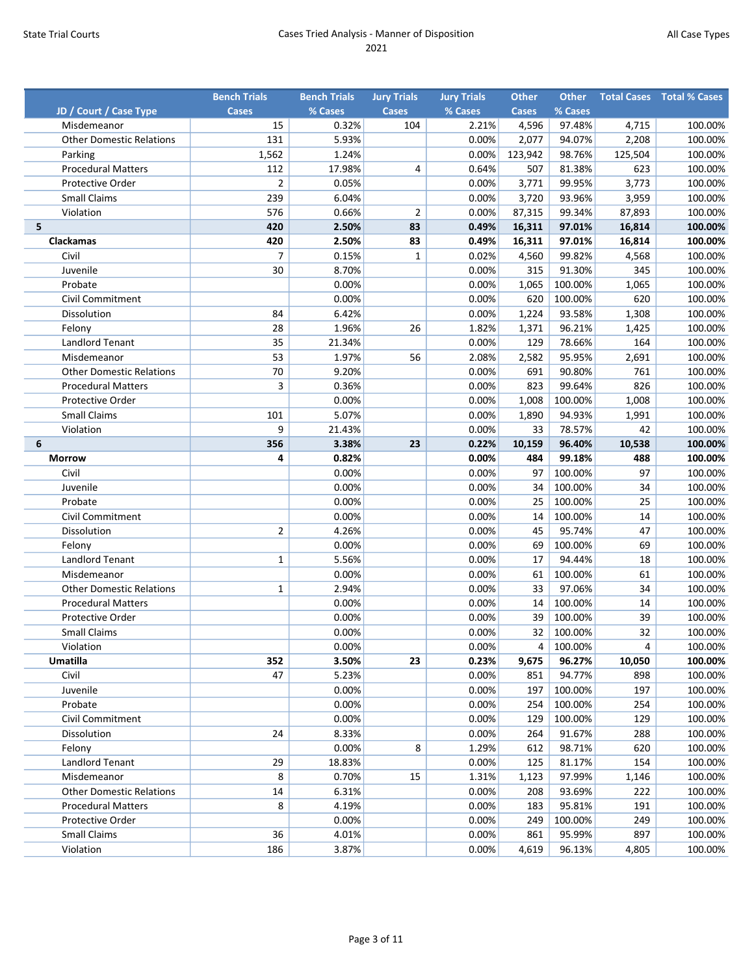|                                 | <b>Bench Trials</b> | <b>Bench Trials</b> | <b>Jury Trials</b> | <b>Jury Trials</b> | <b>Other</b> | <b>Other</b> |         | <b>Total Cases Total % Cases</b> |
|---------------------------------|---------------------|---------------------|--------------------|--------------------|--------------|--------------|---------|----------------------------------|
| JD / Court / Case Type          | <b>Cases</b>        | % Cases             | <b>Cases</b>       | % Cases            | <b>Cases</b> | % Cases      |         |                                  |
| Misdemeanor                     | 15                  | 0.32%               | 104                | 2.21%              | 4,596        | 97.48%       | 4,715   | 100.00%                          |
| <b>Other Domestic Relations</b> | 131                 | 5.93%               |                    | 0.00%              | 2,077        | 94.07%       | 2,208   | 100.00%                          |
| Parking                         | 1,562               | 1.24%               |                    | 0.00%              | 123,942      | 98.76%       | 125,504 | 100.00%                          |
| <b>Procedural Matters</b>       | 112                 | 17.98%              | 4                  | 0.64%              | 507          | 81.38%       | 623     | 100.00%                          |
| Protective Order                | $\overline{2}$      | 0.05%               |                    | 0.00%              | 3,771        | 99.95%       | 3,773   | 100.00%                          |
| <b>Small Claims</b>             | 239                 | 6.04%               |                    | 0.00%              | 3,720        | 93.96%       | 3,959   | 100.00%                          |
| Violation                       | 576                 | 0.66%               | $\overline{2}$     | 0.00%              | 87,315       | 99.34%       | 87,893  | 100.00%                          |
| 5                               | 420                 | 2.50%               | 83                 | 0.49%              | 16,311       | 97.01%       | 16,814  | 100.00%                          |
| Clackamas                       | 420                 | 2.50%               | 83                 | 0.49%              | 16,311       | 97.01%       | 16,814  | 100.00%                          |
| Civil                           | 7                   | 0.15%               | 1                  | 0.02%              | 4,560        | 99.82%       | 4,568   | 100.00%                          |
| Juvenile                        | 30                  | 8.70%               |                    | 0.00%              | 315          | 91.30%       | 345     | 100.00%                          |
| Probate                         |                     | 0.00%               |                    | 0.00%              | 1,065        | 100.00%      | 1,065   | 100.00%                          |
| Civil Commitment                |                     | 0.00%               |                    | 0.00%              | 620          | 100.00%      | 620     | 100.00%                          |
| Dissolution                     | 84                  | 6.42%               |                    | 0.00%              | 1,224        | 93.58%       | 1,308   | 100.00%                          |
| Felony                          | 28                  | 1.96%               | 26                 | 1.82%              | 1,371        | 96.21%       | 1,425   | 100.00%                          |
| Landlord Tenant                 | 35                  | 21.34%              |                    | 0.00%              | 129          | 78.66%       | 164     | 100.00%                          |
| Misdemeanor                     | 53                  | 1.97%               | 56                 | 2.08%              | 2,582        | 95.95%       | 2,691   | 100.00%                          |
| <b>Other Domestic Relations</b> | 70                  | 9.20%               |                    | 0.00%              | 691          | 90.80%       | 761     | 100.00%                          |
| <b>Procedural Matters</b>       | 3                   | 0.36%               |                    | 0.00%              | 823          | 99.64%       | 826     | 100.00%                          |
| <b>Protective Order</b>         |                     | 0.00%               |                    | 0.00%              | 1,008        | 100.00%      | 1,008   | 100.00%                          |
| <b>Small Claims</b>             | 101                 | 5.07%               |                    | 0.00%              | 1,890        | 94.93%       | 1,991   | 100.00%                          |
| Violation                       | 9                   | 21.43%              |                    | 0.00%              | 33           | 78.57%       | 42      | 100.00%                          |
| 6                               | 356                 | 3.38%               | 23                 | 0.22%              | 10,159       | 96.40%       | 10,538  | 100.00%                          |
| <b>Morrow</b>                   | 4                   | 0.82%               |                    | 0.00%              | 484          | 99.18%       | 488     | 100.00%                          |
| Civil                           |                     | 0.00%               |                    | 0.00%              | 97           | 100.00%      | 97      | 100.00%                          |
| Juvenile                        |                     | 0.00%               |                    | 0.00%              | 34           | 100.00%      | 34      | 100.00%                          |
| Probate                         |                     | 0.00%               |                    | 0.00%              | 25           | 100.00%      | 25      | 100.00%                          |
| Civil Commitment                |                     | 0.00%               |                    | 0.00%              | 14           | 100.00%      | 14      | 100.00%                          |
| Dissolution                     | $\overline{2}$      | 4.26%               |                    | 0.00%              | 45           | 95.74%       | 47      | 100.00%                          |
| Felony                          |                     | 0.00%               |                    | 0.00%              | 69           | 100.00%      | 69      | 100.00%                          |
| Landlord Tenant                 | $\mathbf{1}$        | 5.56%               |                    | 0.00%              | 17           | 94.44%       | 18      | 100.00%                          |
| Misdemeanor                     |                     | 0.00%               |                    | 0.00%              | 61           | 100.00%      | 61      | 100.00%                          |
| <b>Other Domestic Relations</b> | 1                   | 2.94%               |                    | 0.00%              | 33           | 97.06%       | 34      | 100.00%                          |
| <b>Procedural Matters</b>       |                     | 0.00%               |                    | 0.00%              | 14           | 100.00%      | 14      | 100.00%                          |
| Protective Order                |                     | 0.00%               |                    | 0.00%              | 39           | 100.00%      | 39      | 100.00%                          |
| <b>Small Claims</b>             |                     | 0.00%               |                    | 0.00%              | 32           | 100.00%      | 32      | 100.00%                          |
| Violation                       |                     | 0.00%               |                    | 0.00%              | 4            | 100.00%      | 4       | 100.00%                          |
| Umatilla                        | 352                 | 3.50%               | 23                 | 0.23%              | 9,675        | 96.27%       | 10,050  | 100.00%                          |
| Civil                           | 47                  | 5.23%               |                    | 0.00%              | 851          | 94.77%       | 898     | 100.00%                          |
| Juvenile                        |                     | 0.00%               |                    | 0.00%              | 197          | 100.00%      | 197     | 100.00%                          |
| Probate                         |                     | 0.00%               |                    | 0.00%              | 254          | 100.00%      | 254     | 100.00%                          |
| Civil Commitment                |                     | 0.00%               |                    | 0.00%              | 129          | 100.00%      | 129     | 100.00%                          |
| Dissolution                     | 24                  | 8.33%               |                    | 0.00%              | 264          | 91.67%       | 288     | 100.00%                          |
| Felony                          |                     | 0.00%               | 8                  | 1.29%              | 612          | 98.71%       | 620     | 100.00%                          |
| Landlord Tenant                 | 29                  | 18.83%              |                    | 0.00%              | 125          | 81.17%       | 154     | 100.00%                          |
| Misdemeanor                     | 8                   | 0.70%               | 15                 | 1.31%              | 1,123        | 97.99%       | 1,146   | 100.00%                          |
| <b>Other Domestic Relations</b> | 14                  | 6.31%               |                    | 0.00%              | 208          | 93.69%       | 222     | 100.00%                          |
| <b>Procedural Matters</b>       | 8                   | 4.19%               |                    | 0.00%              | 183          | 95.81%       | 191     | 100.00%                          |
| Protective Order                |                     | 0.00%               |                    | 0.00%              | 249          | 100.00%      | 249     | 100.00%                          |
| <b>Small Claims</b>             | 36                  | 4.01%               |                    | 0.00%              | 861          | 95.99%       | 897     | 100.00%                          |
| Violation                       | 186                 | 3.87%               |                    | 0.00%              | 4,619        | 96.13%       | 4,805   | 100.00%                          |
|                                 |                     |                     |                    |                    |              |              |         |                                  |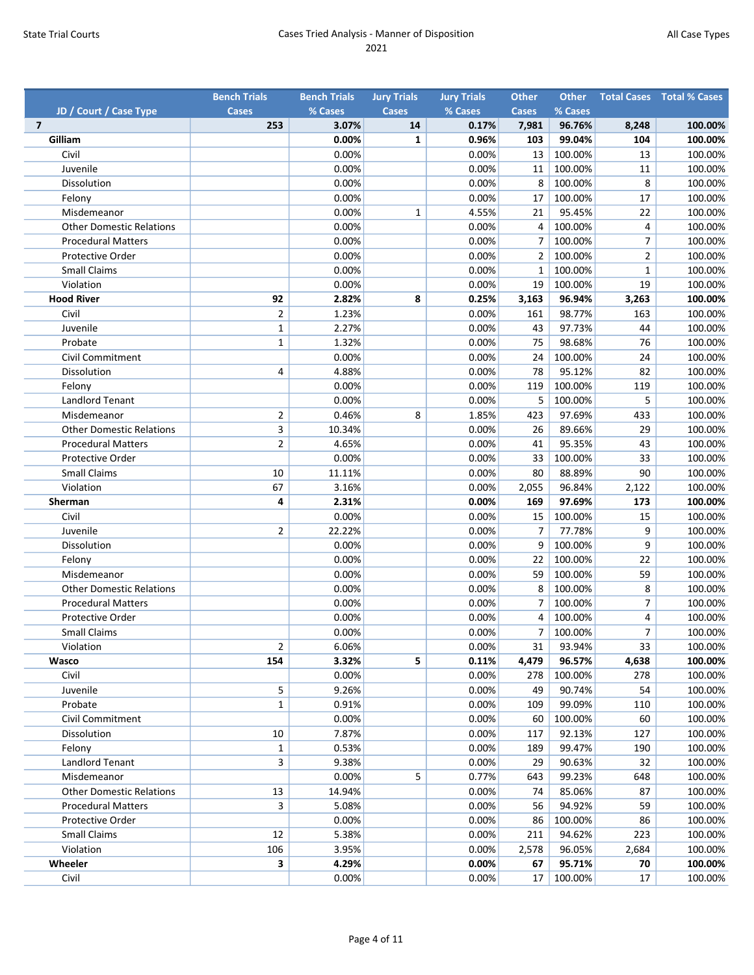|                                 | <b>Bench Trials</b> | <b>Bench Trials</b> | <b>Jury Trials</b> | <b>Jury Trials</b> | <b>Other</b>   | <b>Other</b> |                | <b>Total Cases Total % Cases</b> |
|---------------------------------|---------------------|---------------------|--------------------|--------------------|----------------|--------------|----------------|----------------------------------|
| JD / Court / Case Type          | <b>Cases</b>        | % Cases             | <b>Cases</b>       | % Cases            | <b>Cases</b>   | % Cases      |                |                                  |
| $\overline{7}$                  | 253                 | 3.07%               | 14                 | 0.17%              | 7,981          | 96.76%       | 8,248          | 100.00%                          |
| Gilliam                         |                     | 0.00%               | 1                  | 0.96%              | 103            | 99.04%       | 104            | 100.00%                          |
| Civil                           |                     | 0.00%               |                    | 0.00%              | 13             | 100.00%      | 13             | 100.00%                          |
| Juvenile                        |                     | 0.00%               |                    | 0.00%              | 11             | 100.00%      | 11             | 100.00%                          |
| Dissolution                     |                     | 0.00%               |                    | 0.00%              | 8              | 100.00%      | 8              | 100.00%                          |
| Felony                          |                     | 0.00%               |                    | 0.00%              | 17             | 100.00%      | 17             | 100.00%                          |
| Misdemeanor                     |                     | 0.00%               | $\mathbf{1}$       | 4.55%              | 21             | 95.45%       | 22             | 100.00%                          |
| <b>Other Domestic Relations</b> |                     | 0.00%               |                    | 0.00%              | 4              | 100.00%      | 4              | 100.00%                          |
| <b>Procedural Matters</b>       |                     | 0.00%               |                    | 0.00%              | 7              | 100.00%      | $\overline{7}$ | 100.00%                          |
| <b>Protective Order</b>         |                     | 0.00%               |                    | 0.00%              | 2 <sup>1</sup> | 100.00%      | $\overline{2}$ | 100.00%                          |
| <b>Small Claims</b>             |                     | 0.00%               |                    | 0.00%              | 1              | 100.00%      | $\mathbf 1$    | 100.00%                          |
| Violation                       |                     | 0.00%               |                    | 0.00%              | 19             | 100.00%      | 19             | 100.00%                          |
| <b>Hood River</b>               | 92                  | 2.82%               | 8                  | 0.25%              | 3,163          | 96.94%       | 3,263          | 100.00%                          |
| Civil                           | $\mathbf 2$         | 1.23%               |                    | 0.00%              | 161            | 98.77%       | 163            | 100.00%                          |
| Juvenile                        | $\mathbf 1$         | 2.27%               |                    | 0.00%              | 43             | 97.73%       | 44             | 100.00%                          |
| Probate                         | $\mathbf{1}$        | 1.32%               |                    | 0.00%              | 75             | 98.68%       | 76             | 100.00%                          |
| Civil Commitment                |                     | 0.00%               |                    | 0.00%              | 24             | 100.00%      | 24             | 100.00%                          |
| Dissolution                     | 4                   | 4.88%               |                    | 0.00%              | 78             | 95.12%       | 82             | 100.00%                          |
| Felony                          |                     | 0.00%               |                    | 0.00%              | 119            | 100.00%      | 119            | 100.00%                          |
| <b>Landlord Tenant</b>          |                     | 0.00%               |                    | 0.00%              | 5              | 100.00%      | 5              | 100.00%                          |
| Misdemeanor                     | $\overline{2}$      | 0.46%               | 8                  | 1.85%              | 423            | 97.69%       | 433            | 100.00%                          |
| <b>Other Domestic Relations</b> | 3                   | 10.34%              |                    | 0.00%              | 26             | 89.66%       | 29             | 100.00%                          |
| <b>Procedural Matters</b>       | $\overline{2}$      | 4.65%               |                    | 0.00%              | 41             | 95.35%       | 43             | 100.00%                          |
| <b>Protective Order</b>         |                     | 0.00%               |                    | 0.00%              | 33             | 100.00%      | 33             | 100.00%                          |
| <b>Small Claims</b>             | 10                  | 11.11%              |                    | 0.00%              | 80             | 88.89%       | 90             | 100.00%                          |
| Violation                       | 67                  | 3.16%               |                    | 0.00%              | 2,055          | 96.84%       | 2,122          | 100.00%                          |
| Sherman                         | 4                   | 2.31%               |                    | 0.00%              | 169            | 97.69%       | 173            | 100.00%                          |
| Civil                           |                     | 0.00%               |                    | 0.00%              | 15             | 100.00%      | 15             | 100.00%                          |
| Juvenile                        | $\overline{2}$      | 22.22%              |                    | 0.00%              | 7              | 77.78%       | 9              | 100.00%                          |
| Dissolution                     |                     | 0.00%               |                    | 0.00%              | 9              | 100.00%      | 9              | 100.00%                          |
| Felony                          |                     | 0.00%               |                    | 0.00%              | 22             | 100.00%      | 22             | 100.00%                          |
| Misdemeanor                     |                     | 0.00%               |                    | 0.00%              | 59             | 100.00%      | 59             | 100.00%                          |
| <b>Other Domestic Relations</b> |                     | 0.00%               |                    | 0.00%              | 8              | 100.00%      | 8              | 100.00%                          |
| <b>Procedural Matters</b>       |                     | 0.00%               |                    | 0.00%              | 7              | 100.00%      | $\overline{7}$ | 100.00%                          |
| <b>Protective Order</b>         |                     | 0.00%               |                    | 0.00%              | 4              | 100.00%      | 4              | 100.00%                          |
| <b>Small Claims</b>             |                     | 0.00%               |                    | 0.00%              | 7              | 100.00%      | $\overline{7}$ | 100.00%                          |
| Violation                       | $\overline{2}$      | 6.06%               |                    | 0.00%              | 31             | 93.94%       | 33             | 100.00%                          |
| Wasco                           | 154                 | 3.32%               | 5                  | 0.11%              | 4,479          | 96.57%       | 4,638          | 100.00%                          |
| Civil                           |                     | 0.00%               |                    | 0.00%              | 278            | 100.00%      | 278            | 100.00%                          |
| Juvenile                        | 5                   | 9.26%               |                    | 0.00%              | 49             | 90.74%       | 54             | 100.00%                          |
| Probate                         | $\mathbf{1}$        | 0.91%               |                    | 0.00%              | 109            | 99.09%       | 110            | 100.00%                          |
| Civil Commitment                |                     | 0.00%               |                    | 0.00%              | 60             | 100.00%      | 60             | 100.00%                          |
| Dissolution                     | 10                  | 7.87%               |                    | 0.00%              | 117            | 92.13%       | 127            | 100.00%                          |
| Felony                          | $\mathbf{1}$        | 0.53%               |                    | 0.00%              | 189            | 99.47%       | 190            | 100.00%                          |
| Landlord Tenant                 | 3                   | 9.38%               |                    | 0.00%              | 29             | 90.63%       | 32             | 100.00%                          |
| Misdemeanor                     |                     | 0.00%               | 5                  | 0.77%              | 643            | 99.23%       | 648            | 100.00%                          |
| <b>Other Domestic Relations</b> | 13                  | 14.94%              |                    | 0.00%              | 74             | 85.06%       | 87             | 100.00%                          |
| <b>Procedural Matters</b>       | 3                   | 5.08%               |                    | 0.00%              | 56             | 94.92%       | 59             | 100.00%                          |
| Protective Order                |                     | 0.00%               |                    | 0.00%              | 86             | 100.00%      | 86             | 100.00%                          |
| <b>Small Claims</b>             | 12                  | 5.38%               |                    | 0.00%              | 211            | 94.62%       | 223            | 100.00%                          |
| Violation                       | 106                 | 3.95%               |                    | 0.00%              | 2,578          | 96.05%       | 2,684          | 100.00%                          |
| Wheeler                         | 3                   | 4.29%               |                    | 0.00%              | 67             | 95.71%       | 70             | 100.00%                          |
| Civil                           |                     | 0.00%               |                    | 0.00%              | 17             | 100.00%      | 17             | 100.00%                          |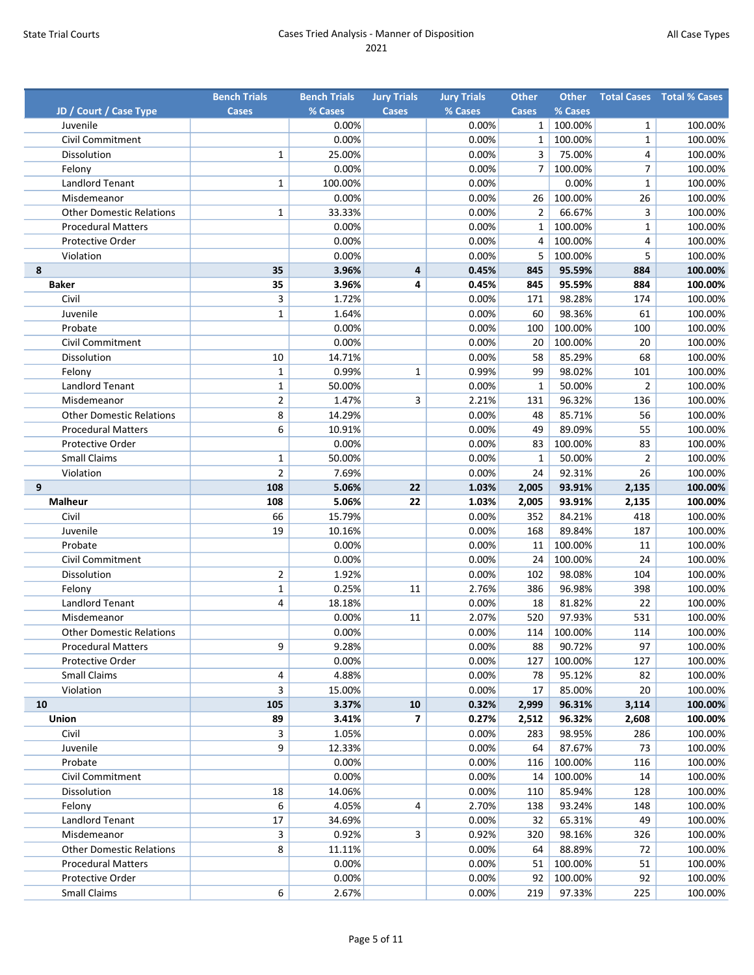|                                 | <b>Bench Trials</b> | <b>Bench Trials</b> | <b>Jury Trials</b> | <b>Jury Trials</b> | <b>Other</b>   | <b>Other</b> |                | <b>Total Cases Total % Cases</b> |
|---------------------------------|---------------------|---------------------|--------------------|--------------------|----------------|--------------|----------------|----------------------------------|
| JD / Court / Case Type          | <b>Cases</b>        | % Cases             | <b>Cases</b>       | % Cases            | <b>Cases</b>   | % Cases      |                |                                  |
| Juvenile                        |                     | 0.00%               |                    | 0.00%              | $\mathbf{1}$   | 100.00%      | $\mathbf{1}$   | 100.00%                          |
| Civil Commitment                |                     | 0.00%               |                    | 0.00%              | 1              | 100.00%      | $\mathbf{1}$   | 100.00%                          |
| Dissolution                     | $\mathbf{1}$        | 25.00%              |                    | 0.00%              | 3              | 75.00%       | 4              | 100.00%                          |
| Felony                          |                     | 0.00%               |                    | 0.00%              | 7              | 100.00%      | $\overline{7}$ | 100.00%                          |
| Landlord Tenant                 | $\mathbf{1}$        | 100.00%             |                    | 0.00%              |                | 0.00%        | $\mathbf{1}$   | 100.00%                          |
| Misdemeanor                     |                     | 0.00%               |                    | 0.00%              | 26             | 100.00%      | 26             | 100.00%                          |
| <b>Other Domestic Relations</b> | $\mathbf{1}$        | 33.33%              |                    | 0.00%              | $\overline{2}$ | 66.67%       | 3              | 100.00%                          |
| <b>Procedural Matters</b>       |                     | 0.00%               |                    | 0.00%              | $\mathbf{1}$   | 100.00%      | $\mathbf 1$    | 100.00%                          |
| <b>Protective Order</b>         |                     | 0.00%               |                    | 0.00%              | 4              | 100.00%      | 4              | 100.00%                          |
| Violation                       |                     | 0.00%               |                    | 0.00%              | 5              | 100.00%      | 5              | 100.00%                          |
| 8                               | 35                  | 3.96%               | 4                  | 0.45%              | 845            | 95.59%       | 884            | 100.00%                          |
| <b>Baker</b>                    | 35                  | 3.96%               | 4                  | 0.45%              | 845            | 95.59%       | 884            | 100.00%                          |
| Civil                           | 3                   | 1.72%               |                    | 0.00%              | 171            | 98.28%       | 174            | 100.00%                          |
| Juvenile                        | $\mathbf{1}$        | 1.64%               |                    | 0.00%              | 60             | 98.36%       | 61             | 100.00%                          |
| Probate                         |                     | 0.00%               |                    | 0.00%              | 100            | 100.00%      | 100            | 100.00%                          |
| Civil Commitment                |                     | 0.00%               |                    | 0.00%              | 20             | 100.00%      | 20             | 100.00%                          |
| Dissolution                     | 10                  | 14.71%              |                    | 0.00%              | 58             | 85.29%       | 68             | 100.00%                          |
| Felony                          | $\mathbf{1}$        | 0.99%               | $\mathbf{1}$       | 0.99%              | 99             | 98.02%       | 101            | 100.00%                          |
| <b>Landlord Tenant</b>          | $\mathbf{1}$        | 50.00%              |                    | 0.00%              | $\mathbf{1}$   | 50.00%       | $\overline{2}$ | 100.00%                          |
| Misdemeanor                     | $\overline{2}$      | 1.47%               | 3                  | 2.21%              | 131            | 96.32%       | 136            | 100.00%                          |
| <b>Other Domestic Relations</b> | 8                   | 14.29%              |                    | 0.00%              | 48             | 85.71%       | 56             | 100.00%                          |
| <b>Procedural Matters</b>       | 6                   | 10.91%              |                    | 0.00%              | 49             | 89.09%       | 55             | 100.00%                          |
| Protective Order                |                     | 0.00%               |                    | 0.00%              | 83             | 100.00%      | 83             | 100.00%                          |
| <b>Small Claims</b>             | $\mathbf{1}$        | 50.00%              |                    | 0.00%              | 1              | 50.00%       | $\overline{2}$ | 100.00%                          |
| Violation                       | $\mathbf 2$         | 7.69%               |                    | 0.00%              | 24             | 92.31%       | 26             | 100.00%                          |
| 9                               | 108                 | 5.06%               | 22                 | 1.03%              | 2,005          | 93.91%       | 2,135          | 100.00%                          |
| <b>Malheur</b>                  | 108                 | 5.06%               | 22                 | 1.03%              | 2,005          | 93.91%       | 2,135          | 100.00%                          |
| Civil                           | 66                  | 15.79%              |                    | 0.00%              | 352            | 84.21%       | 418            | 100.00%                          |
| Juvenile                        | 19                  | 10.16%              |                    | 0.00%              | 168            | 89.84%       | 187            | 100.00%                          |
| Probate                         |                     | 0.00%               |                    | 0.00%              | 11             | 100.00%      | 11             | 100.00%                          |
| Civil Commitment                |                     | 0.00%               |                    | 0.00%              | 24             | 100.00%      | 24             | 100.00%                          |
| Dissolution                     | $\overline{2}$      | 1.92%               |                    | 0.00%              | 102            | 98.08%       | 104            | 100.00%                          |
| Felony                          | $\mathbf{1}$        | 0.25%               | 11                 | 2.76%              | 386            | 96.98%       | 398            | 100.00%                          |
| <b>Landlord Tenant</b>          | 4                   | 18.18%              |                    | 0.00%              | 18             | 81.82%       | 22             | 100.00%                          |
| Misdemeanor                     |                     | 0.00%               | 11                 | 2.07%              | 520            | 97.93%       | 531            | 100.00%                          |
| <b>Other Domestic Relations</b> |                     | 0.00%               |                    | 0.00%              | 114            | 100.00%      | 114            | 100.00%                          |
| <b>Procedural Matters</b>       | 9                   | 9.28%               |                    | 0.00%              | 88             | 90.72%       | 97             | 100.00%                          |
| Protective Order                |                     | 0.00%               |                    | 0.00%              | 127            | 100.00%      | 127            | 100.00%                          |
| <b>Small Claims</b>             | 4                   | 4.88%               |                    | 0.00%              | 78             | 95.12%       | 82             | 100.00%                          |
| Violation                       | 3                   | 15.00%              |                    | 0.00%              | 17             | 85.00%       | 20             | 100.00%                          |
| 10                              | 105                 | 3.37%               | 10                 | 0.32%              | 2,999          | 96.31%       | 3,114          | 100.00%                          |
| Union                           | 89                  | 3.41%               | 7                  | 0.27%              | 2,512          | 96.32%       | 2,608          | 100.00%                          |
| Civil                           | 3                   | 1.05%               |                    | 0.00%              | 283            | 98.95%       | 286            | 100.00%                          |
| Juvenile                        | 9                   | 12.33%              |                    | 0.00%              | 64             | 87.67%       | 73             | 100.00%                          |
| Probate                         |                     | 0.00%               |                    | 0.00%              | 116            | 100.00%      | 116            | 100.00%                          |
| Civil Commitment                |                     | 0.00%               |                    | 0.00%              | 14             | 100.00%      | 14             | 100.00%                          |
| Dissolution                     | 18                  | 14.06%              |                    | 0.00%              | 110            | 85.94%       | 128            | 100.00%                          |
| Felony                          | 6                   | 4.05%               | 4                  | 2.70%              | 138            | 93.24%       | 148            | 100.00%                          |
| <b>Landlord Tenant</b>          | 17                  | 34.69%              |                    | 0.00%              | 32             | 65.31%       | 49             | 100.00%                          |
| Misdemeanor                     | 3                   | 0.92%               | 3                  | 0.92%              | 320            | 98.16%       | 326            | 100.00%                          |
| <b>Other Domestic Relations</b> | 8                   | 11.11%              |                    | 0.00%              | 64             | 88.89%       | 72             | 100.00%                          |
| <b>Procedural Matters</b>       |                     | 0.00%               |                    | 0.00%              | 51             | 100.00%      | 51             | 100.00%                          |
| Protective Order                |                     | 0.00%               |                    | 0.00%              | 92             | 100.00%      | 92             | 100.00%                          |
| <b>Small Claims</b>             | 6                   | 2.67%               |                    | 0.00%              | 219            | 97.33%       | 225            | 100.00%                          |
|                                 |                     |                     |                    |                    |                |              |                |                                  |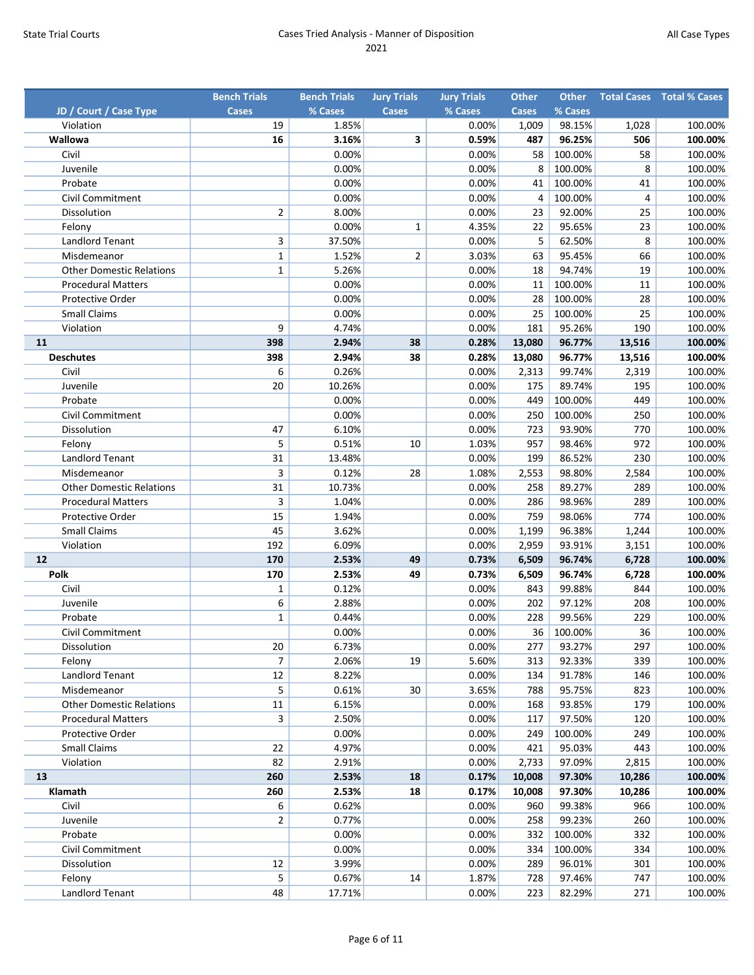|                                 | <b>Bench Trials</b> | <b>Bench Trials</b> | <b>Jury Trials</b> | <b>Jury Trials</b> | <b>Other</b> | <b>Other</b> |        | <b>Total Cases Total % Cases</b> |
|---------------------------------|---------------------|---------------------|--------------------|--------------------|--------------|--------------|--------|----------------------------------|
| JD / Court / Case Type          | <b>Cases</b>        | % Cases             | <b>Cases</b>       | % Cases            | <b>Cases</b> | % Cases      |        |                                  |
| Violation                       | 19                  | 1.85%               |                    | 0.00%              | 1,009        | 98.15%       | 1,028  | 100.00%                          |
| Wallowa                         | 16                  | 3.16%               | 3                  | 0.59%              | 487          | 96.25%       | 506    | 100.00%                          |
| Civil                           |                     | 0.00%               |                    | 0.00%              | 58           | 100.00%      | 58     | 100.00%                          |
| Juvenile                        |                     | 0.00%               |                    | 0.00%              | 8            | 100.00%      | 8      | 100.00%                          |
| Probate                         |                     | 0.00%               |                    | 0.00%              | 41           | 100.00%      | 41     | 100.00%                          |
| Civil Commitment                |                     | 0.00%               |                    | 0.00%              | 4            | 100.00%      | 4      | 100.00%                          |
| Dissolution                     | $\overline{2}$      | 8.00%               |                    | 0.00%              | 23           | 92.00%       | 25     | 100.00%                          |
| Felony                          |                     | 0.00%               | $\mathbf{1}$       | 4.35%              | 22           | 95.65%       | 23     | 100.00%                          |
| Landlord Tenant                 | 3                   | 37.50%              |                    | 0.00%              | 5            | 62.50%       | 8      | 100.00%                          |
| Misdemeanor                     | $\mathbf{1}$        | 1.52%               | $\overline{2}$     | 3.03%              | 63           | 95.45%       | 66     | 100.00%                          |
| <b>Other Domestic Relations</b> | $\mathbf{1}$        | 5.26%               |                    | 0.00%              | 18           | 94.74%       | 19     | 100.00%                          |
| <b>Procedural Matters</b>       |                     | 0.00%               |                    | 0.00%              | 11           | 100.00%      | 11     | 100.00%                          |
| <b>Protective Order</b>         |                     | 0.00%               |                    | 0.00%              | 28           | 100.00%      | 28     | 100.00%                          |
| <b>Small Claims</b>             |                     | 0.00%               |                    | 0.00%              | 25           | 100.00%      | 25     | 100.00%                          |
| Violation                       | 9                   | 4.74%               |                    | 0.00%              | 181          | 95.26%       | 190    | 100.00%                          |
| 11                              | 398                 | 2.94%               | 38                 | 0.28%              | 13,080       | 96.77%       | 13,516 | 100.00%                          |
| <b>Deschutes</b>                | 398                 | 2.94%               | 38                 | 0.28%              | 13,080       | 96.77%       | 13,516 | 100.00%                          |
| Civil                           | 6                   | 0.26%               |                    | 0.00%              | 2,313        | 99.74%       | 2,319  | 100.00%                          |
| Juvenile                        | 20                  | 10.26%              |                    | 0.00%              | 175          | 89.74%       | 195    | 100.00%                          |
| Probate                         |                     | 0.00%               |                    | 0.00%              | 449          | 100.00%      | 449    | 100.00%                          |
| Civil Commitment                |                     | 0.00%               |                    | 0.00%              | 250          | 100.00%      | 250    | 100.00%                          |
| Dissolution                     | 47                  | 6.10%               |                    | 0.00%              | 723          | 93.90%       | 770    | 100.00%                          |
| Felony                          | 5                   | 0.51%               | 10                 | 1.03%              | 957          | 98.46%       | 972    | 100.00%                          |
| <b>Landlord Tenant</b>          | 31                  | 13.48%              |                    | 0.00%              | 199          | 86.52%       | 230    | 100.00%                          |
| Misdemeanor                     | 3                   | 0.12%               | 28                 | 1.08%              | 2,553        | 98.80%       | 2,584  | 100.00%                          |
| <b>Other Domestic Relations</b> | 31                  | 10.73%              |                    | 0.00%              | 258          | 89.27%       | 289    | 100.00%                          |
| <b>Procedural Matters</b>       | 3                   | 1.04%               |                    | 0.00%              | 286          | 98.96%       | 289    | 100.00%                          |
| <b>Protective Order</b>         | 15                  | 1.94%               |                    | 0.00%              | 759          | 98.06%       | 774    | 100.00%                          |
| <b>Small Claims</b>             | 45                  | 3.62%               |                    | 0.00%              | 1,199        | 96.38%       | 1,244  | 100.00%                          |
| Violation                       | 192                 | 6.09%               |                    | 0.00%              | 2,959        | 93.91%       | 3,151  | 100.00%                          |
| 12                              | 170                 | 2.53%               | 49                 | 0.73%              | 6,509        | 96.74%       | 6,728  | 100.00%                          |
| Polk                            | 170                 | 2.53%               | 49                 | 0.73%              | 6,509        | 96.74%       | 6,728  | 100.00%                          |
| Civil                           | 1                   | 0.12%               |                    | 0.00%              | 843          | 99.88%       | 844    | 100.00%                          |
| Juvenile                        | 6                   | 2.88%               |                    | 0.00%              | 202          | 97.12%       | 208    | 100.00%                          |
| Probate                         | $\mathbf{1}$        | 0.44%               |                    | 0.00%              | 228          | 99.56%       | 229    | 100.00%                          |
| Civil Commitment                |                     | 0.00%               |                    | 0.00%              | 36           | 100.00%      | 36     | 100.00%                          |
| Dissolution                     | 20                  | 6.73%               |                    | 0.00%              | 277          | 93.27%       | 297    | 100.00%                          |
| Felony                          | $\overline{7}$      | 2.06%               | 19                 | 5.60%              | 313          | 92.33%       | 339    | 100.00%                          |
| Landlord Tenant                 | 12                  | 8.22%               |                    | 0.00%              | 134          | 91.78%       | 146    | 100.00%                          |
| Misdemeanor                     | 5                   | 0.61%               | 30                 | 3.65%              | 788          | 95.75%       | 823    | 100.00%                          |
| <b>Other Domestic Relations</b> | 11                  | 6.15%               |                    | 0.00%              | 168          | 93.85%       | 179    | 100.00%                          |
| <b>Procedural Matters</b>       | 3                   | 2.50%               |                    | 0.00%              | 117          | 97.50%       | 120    | 100.00%                          |
| Protective Order                |                     | 0.00%               |                    | 0.00%              | 249          | 100.00%      | 249    | 100.00%                          |
| <b>Small Claims</b>             | 22                  | 4.97%               |                    | 0.00%              | 421          | 95.03%       | 443    | 100.00%                          |
| Violation                       | 82                  | 2.91%               |                    | 0.00%              | 2,733        | 97.09%       | 2,815  | 100.00%                          |
| 13                              | 260                 | 2.53%               | 18                 | 0.17%              | 10,008       | 97.30%       | 10,286 | 100.00%                          |
| Klamath                         | 260                 | 2.53%               | 18                 | 0.17%              | 10,008       | 97.30%       | 10,286 | 100.00%                          |
| Civil                           | 6                   | 0.62%               |                    | 0.00%              | 960          | 99.38%       | 966    | 100.00%                          |
| Juvenile                        | $\overline{2}$      | 0.77%               |                    | 0.00%              | 258          | 99.23%       | 260    | 100.00%                          |
| Probate                         |                     | 0.00%               |                    | 0.00%              | 332          | 100.00%      | 332    | 100.00%                          |
| Civil Commitment                |                     | 0.00%               |                    | 0.00%              | 334          | 100.00%      | 334    | 100.00%                          |
| Dissolution                     | 12                  | 3.99%               |                    | 0.00%              | 289          | 96.01%       | 301    | 100.00%                          |
| Felony                          | 5                   | 0.67%               | 14                 | 1.87%              | 728          | 97.46%       | 747    | 100.00%                          |
| Landlord Tenant                 | 48                  | 17.71%              |                    | 0.00%              | 223          | 82.29%       | 271    | 100.00%                          |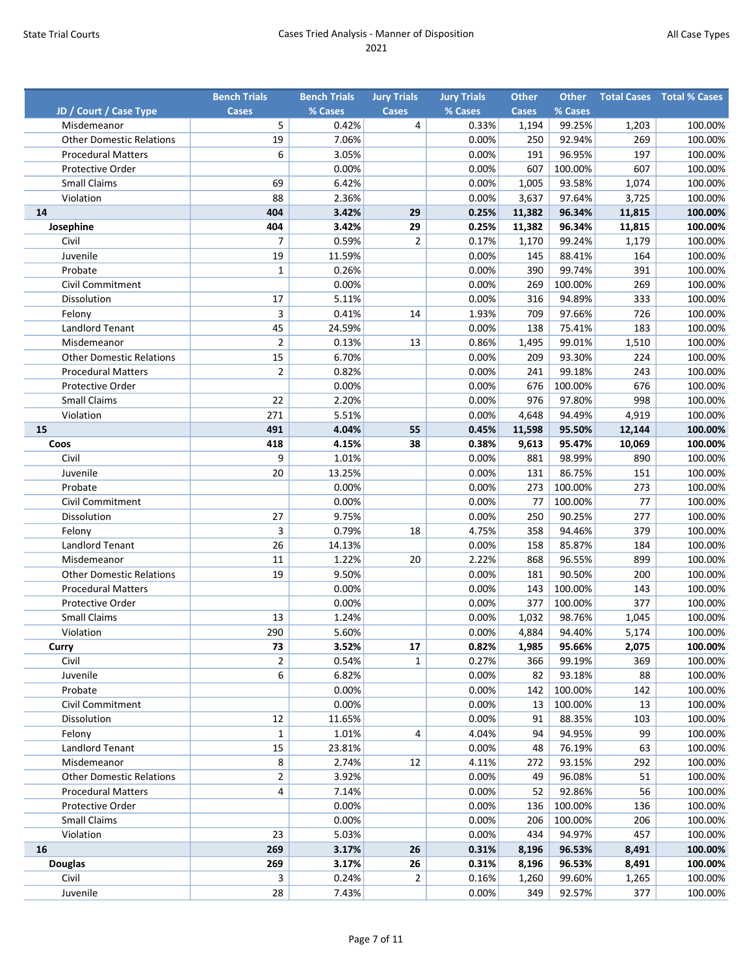|                                 | <b>Bench Trials</b> | <b>Bench Trials</b> | <b>Jury Trials</b> | <b>Jury Trials</b> | <b>Other</b> | <b>Other</b> |        | <b>Total Cases Total % Cases</b> |
|---------------------------------|---------------------|---------------------|--------------------|--------------------|--------------|--------------|--------|----------------------------------|
| JD / Court / Case Type          | <b>Cases</b>        | % Cases             | <b>Cases</b>       | % Cases            | <b>Cases</b> | % Cases      |        |                                  |
| Misdemeanor                     | 5                   | 0.42%               | 4                  | 0.33%              | 1,194        | 99.25%       | 1,203  | 100.00%                          |
| <b>Other Domestic Relations</b> | 19                  | 7.06%               |                    | 0.00%              | 250          | 92.94%       | 269    | 100.00%                          |
| <b>Procedural Matters</b>       | 6                   | 3.05%               |                    | 0.00%              | 191          | 96.95%       | 197    | 100.00%                          |
| <b>Protective Order</b>         |                     | 0.00%               |                    | 0.00%              | 607          | 100.00%      | 607    | 100.00%                          |
| <b>Small Claims</b>             | 69                  | 6.42%               |                    | 0.00%              | 1,005        | 93.58%       | 1,074  | 100.00%                          |
| Violation                       | 88                  | 2.36%               |                    | 0.00%              | 3,637        | 97.64%       | 3,725  | 100.00%                          |
| 14                              | 404                 | 3.42%               | 29                 | 0.25%              | 11,382       | 96.34%       | 11,815 | 100.00%                          |
| Josephine                       | 404                 | 3.42%               | 29                 | 0.25%              | 11,382       | 96.34%       | 11,815 | 100.00%                          |
| Civil                           | $\overline{7}$      | 0.59%               | 2                  | 0.17%              | 1,170        | 99.24%       | 1,179  | 100.00%                          |
| Juvenile                        | 19                  | 11.59%              |                    | 0.00%              | 145          | 88.41%       | 164    | 100.00%                          |
| Probate                         | $\mathbf{1}$        | 0.26%               |                    | 0.00%              | 390          | 99.74%       | 391    | 100.00%                          |
| Civil Commitment                |                     | 0.00%               |                    | 0.00%              | 269          | 100.00%      | 269    | 100.00%                          |
| Dissolution                     | 17                  | 5.11%               |                    | 0.00%              | 316          | 94.89%       | 333    | 100.00%                          |
| Felony                          | 3                   | 0.41%               | 14                 | 1.93%              | 709          | 97.66%       | 726    | 100.00%                          |
| <b>Landlord Tenant</b>          | 45                  | 24.59%              |                    | 0.00%              | 138          | 75.41%       | 183    | 100.00%                          |
| Misdemeanor                     | $\overline{2}$      | 0.13%               | 13                 | 0.86%              | 1,495        | 99.01%       | 1,510  | 100.00%                          |
| <b>Other Domestic Relations</b> | 15                  | 6.70%               |                    | 0.00%              | 209          | 93.30%       | 224    | 100.00%                          |
| <b>Procedural Matters</b>       | $\overline{2}$      | 0.82%               |                    | 0.00%              | 241          | 99.18%       | 243    | 100.00%                          |
| Protective Order                |                     | 0.00%               |                    | 0.00%              | 676          | 100.00%      | 676    | 100.00%                          |
| <b>Small Claims</b>             | 22                  | 2.20%               |                    | 0.00%              | 976          | 97.80%       | 998    | 100.00%                          |
| Violation                       | 271                 | 5.51%               |                    | 0.00%              | 4,648        | 94.49%       | 4,919  | 100.00%                          |
| 15                              | 491                 | 4.04%               | 55                 | 0.45%              | 11,598       | 95.50%       | 12,144 | 100.00%                          |
| Coos                            | 418                 | 4.15%               | 38                 | 0.38%              | 9,613        | 95.47%       | 10,069 | 100.00%                          |
| Civil                           | 9                   | 1.01%               |                    | 0.00%              | 881          | 98.99%       | 890    | 100.00%                          |
| Juvenile                        | 20                  | 13.25%              |                    | 0.00%              | 131          | 86.75%       | 151    | 100.00%                          |
| Probate                         |                     | 0.00%               |                    | 0.00%              | 273          | 100.00%      | 273    | 100.00%                          |
| Civil Commitment                |                     | 0.00%               |                    | 0.00%              | 77           | 100.00%      | 77     | 100.00%                          |
| Dissolution                     | 27                  | 9.75%               |                    | 0.00%              | 250          | 90.25%       | 277    | 100.00%                          |
| Felony                          | 3                   | 0.79%               | 18                 | 4.75%              | 358          | 94.46%       | 379    | 100.00%                          |
| Landlord Tenant                 | 26                  | 14.13%              |                    | 0.00%              | 158          | 85.87%       | 184    | 100.00%                          |
| Misdemeanor                     | 11                  | 1.22%               | 20                 | 2.22%              | 868          | 96.55%       | 899    | 100.00%                          |
| <b>Other Domestic Relations</b> | 19                  | 9.50%               |                    | 0.00%              | 181          | 90.50%       | 200    | 100.00%                          |
| <b>Procedural Matters</b>       |                     | 0.00%               |                    | 0.00%              | 143          | 100.00%      | 143    | 100.00%                          |
| Protective Order                |                     | 0.00%               |                    | 0.00%              | 377          | 100.00%      | 377    | 100.00%                          |
| <b>Small Claims</b>             | 13                  | 1.24%               |                    | 0.00%              | 1,032        | 98.76%       | 1,045  | 100.00%                          |
| Violation                       | 290                 | 5.60%               |                    | 0.00%              | 4,884        | 94.40%       | 5,174  | 100.00%                          |
| Curry                           | 73                  | 3.52%               | 17                 | 0.82%              | 1,985        | 95.66%       | 2,075  | 100.00%                          |
| Civil                           | $\overline{2}$      | 0.54%               | $\mathbf{1}$       | 0.27%              | 366          | 99.19%       | 369    | 100.00%                          |
| Juvenile                        | 6                   | 6.82%               |                    | 0.00%              | 82           | 93.18%       | 88     | 100.00%                          |
| Probate                         |                     | 0.00%               |                    | 0.00%              | 142          | 100.00%      | 142    | 100.00%                          |
| Civil Commitment                |                     | 0.00%               |                    | 0.00%              | 13           | 100.00%      | 13     | 100.00%                          |
| Dissolution                     | 12                  | 11.65%              |                    | 0.00%              | 91           | 88.35%       | 103    | 100.00%                          |
| Felony                          | $\mathbf{1}$        | 1.01%               | 4                  | 4.04%              | 94           | 94.95%       | 99     | 100.00%                          |
| Landlord Tenant                 | 15                  | 23.81%              |                    | 0.00%              | 48           | 76.19%       | 63     | 100.00%                          |
| Misdemeanor                     | 8                   | 2.74%               | 12                 | 4.11%              | 272          | 93.15%       | 292    | 100.00%                          |
| <b>Other Domestic Relations</b> | $\mathbf{2}$        | 3.92%               |                    | 0.00%              | 49           | 96.08%       | 51     | 100.00%                          |
| <b>Procedural Matters</b>       | 4                   | 7.14%               |                    | 0.00%              | 52           | 92.86%       | 56     | 100.00%                          |
| Protective Order                |                     | 0.00%               |                    | 0.00%              | 136          | 100.00%      | 136    | 100.00%                          |
| <b>Small Claims</b>             |                     | 0.00%               |                    | 0.00%              | 206          | 100.00%      | 206    | 100.00%                          |
| Violation                       | 23                  | 5.03%               |                    | 0.00%              | 434          | 94.97%       | 457    | 100.00%                          |
| 16                              | 269                 | 3.17%               | ${\bf 26}$         | 0.31%              | 8,196        | 96.53%       | 8,491  | 100.00%                          |
| <b>Douglas</b>                  | 269                 | 3.17%               | 26                 | 0.31%              | 8,196        | 96.53%       | 8,491  | 100.00%                          |
| Civil                           | 3                   | 0.24%               | $\overline{2}$     | 0.16%              | 1,260        | 99.60%       | 1,265  | 100.00%                          |
| Juvenile                        | 28                  | 7.43%               |                    | 0.00%              | 349          | 92.57%       | 377    | 100.00%                          |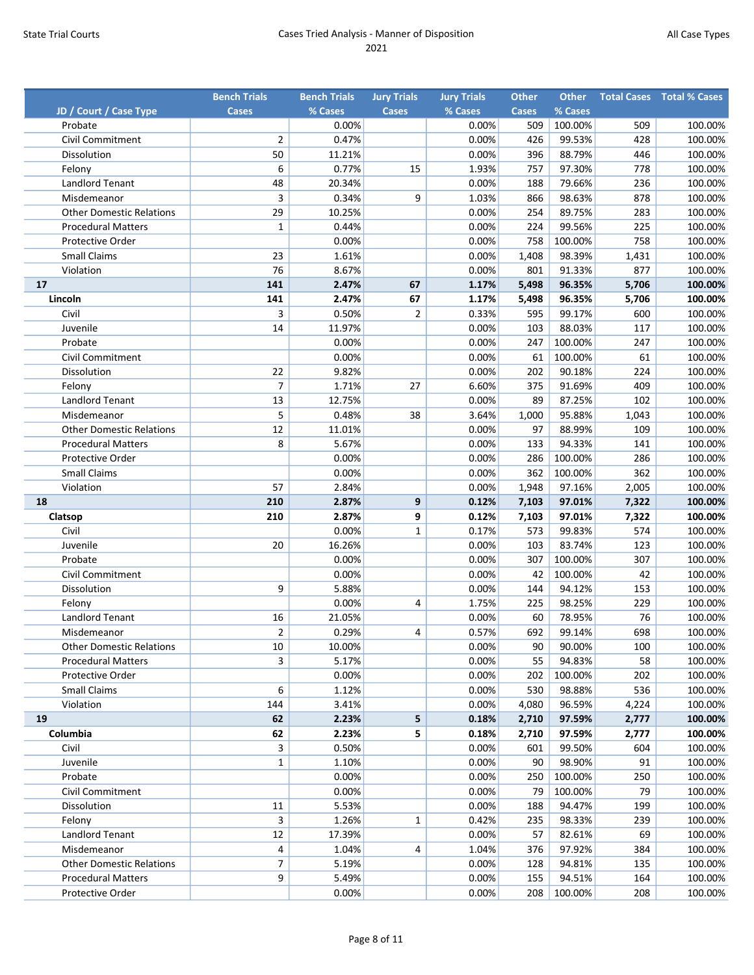| <b>Bench Trials</b><br><b>Jury Trials</b><br><b>Jury Trials</b><br><b>Bench Trials</b><br><b>Other</b><br><b>Other</b>                                     | <b>Total Cases Total % Cases</b> |
|------------------------------------------------------------------------------------------------------------------------------------------------------------|----------------------------------|
| % Cases<br>% Cases<br>% Cases<br><b>Cases</b><br><b>Cases</b><br>JD / Court / Case Type<br><b>Cases</b>                                                    |                                  |
| 0.00%<br>0.00%<br>509<br>100.00%<br>509<br>Probate                                                                                                         | 100.00%                          |
| $\overline{2}$<br>0.47%<br>Civil Commitment<br>0.00%<br>99.53%<br>428<br>426                                                                               | 100.00%                          |
| 50<br>88.79%<br>Dissolution<br>11.21%<br>0.00%<br>446<br>396                                                                                               | 100.00%                          |
| 6<br>0.77%<br>15<br>1.93%<br>757<br>97.30%<br>778<br>Felony                                                                                                | 100.00%                          |
| Landlord Tenant<br>48<br>79.66%<br>236<br>20.34%<br>0.00%<br>188                                                                                           | 100.00%                          |
| 3<br>Misdemeanor<br>0.34%<br>9<br>1.03%<br>98.63%<br>878<br>866                                                                                            | 100.00%                          |
| 29<br>10.25%<br>0.00%<br>254<br>89.75%<br>283<br><b>Other Domestic Relations</b>                                                                           | 100.00%                          |
| 0.44%<br>0.00%<br>224<br>99.56%<br>225<br><b>Procedural Matters</b><br>$\mathbf{1}$                                                                        | 100.00%                          |
| 758<br>0.00%<br>0.00%<br>758<br>100.00%<br><b>Protective Order</b>                                                                                         | 100.00%                          |
| 23<br>1.61%<br>98.39%<br><b>Small Claims</b><br>0.00%<br>1,408<br>1,431                                                                                    | 100.00%                          |
| 76<br>Violation<br>8.67%<br>0.00%<br>801<br>91.33%<br>877                                                                                                  | 100.00%                          |
| 141<br>67<br>96.35%<br>17<br>2.47%<br>5,706<br>1.17%<br>5,498                                                                                              | 100.00%                          |
| 2.47%<br>96.35%<br>Lincoln<br>141<br>67<br>1.17%<br>5,706<br>5,498                                                                                         | 100.00%                          |
| 3<br>0.50%<br>Civil<br>$\overline{2}$<br>0.33%<br>99.17%<br>600<br>595                                                                                     | 100.00%                          |
| 14<br>88.03%<br>Juvenile<br>11.97%<br>0.00%<br>103<br>117                                                                                                  | 100.00%                          |
| Probate<br>0.00%<br>0.00%<br>100.00%<br>247<br>247                                                                                                         | 100.00%                          |
| 0.00%<br>0.00%<br>100.00%<br>61<br>Civil Commitment<br>61                                                                                                  | 100.00%                          |
| 22<br>9.82%<br>90.18%<br>224<br>Dissolution<br>0.00%<br>202                                                                                                | 100.00%                          |
| $\overline{7}$<br>1.71%<br>27<br>6.60%<br>375<br>91.69%<br>409<br>Felony                                                                                   | 100.00%                          |
| 13<br>87.25%<br><b>Landlord Tenant</b><br>12.75%<br>0.00%<br>89<br>102                                                                                     | 100.00%                          |
| 5<br>0.48%<br>38<br>3.64%<br>95.88%<br>1,043<br>Misdemeanor<br>1,000                                                                                       | 100.00%                          |
| 12<br>11.01%<br>0.00%<br>88.99%<br>109<br><b>Other Domestic Relations</b><br>97                                                                            | 100.00%                          |
| 8<br>5.67%<br>0.00%<br>94.33%<br>141<br><b>Procedural Matters</b><br>133                                                                                   | 100.00%                          |
| 286<br>0.00%<br>0.00%<br>286<br>100.00%<br><b>Protective Order</b>                                                                                         | 100.00%                          |
| 362<br><b>Small Claims</b><br>0.00%<br>0.00%<br>362<br>100.00%                                                                                             | 100.00%                          |
| 57<br>2.84%<br>0.00%<br>1,948<br>97.16%<br>2,005<br>Violation                                                                                              | 100.00%                          |
| 18<br>210<br>2.87%<br>9<br>0.12%<br>97.01%<br>7,322<br>7,103                                                                                               | 100.00%                          |
| 2.87%<br>9<br>0.12%<br>97.01%<br>Clatsop<br>210<br>7,103<br>7,322                                                                                          | 100.00%                          |
| 574<br>Civil<br>0.00%<br>0.17%<br>573<br>99.83%<br>$\mathbf{1}$                                                                                            | 100.00%                          |
| Juvenile<br>20<br>0.00%<br>83.74%<br>123<br>16.26%<br>103                                                                                                  | 100.00%                          |
| 0.00%<br>0.00%<br>100.00%<br>307<br>Probate<br>307                                                                                                         | 100.00%                          |
| Civil Commitment<br>0.00%<br>0.00%<br>100.00%<br>42<br>42                                                                                                  | 100.00%                          |
| 9<br>5.88%<br>94.12%<br>153<br>Dissolution<br>0.00%<br>144                                                                                                 | 100.00%                          |
| 0.00%<br>4<br>98.25%<br>229<br>Felony<br>1.75%<br>225                                                                                                      | 100.00%                          |
| 76<br><b>Landlord Tenant</b><br>16<br>21.05%<br>78.95%<br>0.00%<br>60                                                                                      | 100.00%                          |
| $\overline{2}$<br>0.29%<br>692<br>698<br>Misdemeanor<br>4<br>0.57%<br>99.14%                                                                               | 100.00%                          |
| 10<br>10.00%<br>0.00%<br>90.00%<br><b>Other Domestic Relations</b><br>90<br>100                                                                            | 100.00%                          |
| 3<br>58<br>5.17%<br>0.00%<br>55<br>94.83%<br><b>Procedural Matters</b>                                                                                     | 100.00%                          |
| 0.00%<br>0.00%<br>100.00%<br>202<br>Protective Order<br>202                                                                                                | 100.00%                          |
| 6<br>1.12%<br>0.00%<br>98.88%<br>536<br><b>Small Claims</b><br>530                                                                                         | 100.00%                          |
| 144<br>3.41%<br>Violation<br>0.00%<br>4,080<br>96.59%<br>4,224                                                                                             | 100.00%                          |
| 5<br>62<br>2.23%<br>19<br>0.18%<br>97.59%<br>2,777<br>2,710                                                                                                | 100.00%                          |
| 62<br>5<br>Columbia<br>2.23%<br>0.18%<br>97.59%<br>2,777<br>2,710                                                                                          | 100.00%                          |
| 3<br>Civil<br>0.50%<br>0.00%<br>99.50%<br>601<br>604                                                                                                       | 100.00%                          |
| 1.10%<br>0.00%<br>90<br>98.90%<br>91<br>Juvenile<br>$\mathbf{1}$                                                                                           | 100.00%                          |
|                                                                                                                                                            | 100.00%                          |
|                                                                                                                                                            |                                  |
| Probate<br>0.00%<br>0.00%<br>100.00%<br>250<br>250<br>Civil Commitment<br>79                                                                               | 100.00%                          |
| 0.00%<br>0.00%<br>79<br>100.00%                                                                                                                            |                                  |
| 5.53%<br>94.47%<br>Dissolution<br>11<br>0.00%<br>188<br>199                                                                                                | 100.00%                          |
| 3<br>98.33%<br>Felony<br>1.26%<br>$\mathbf{1}$<br>0.42%<br>235<br>239<br>69                                                                                | 100.00%                          |
| Landlord Tenant<br>17.39%<br>82.61%<br>12<br>0.00%<br>57                                                                                                   | 100.00%                          |
| 97.92%<br>Misdemeanor<br>4<br>1.04%<br>4<br>1.04%<br>384<br>376                                                                                            | 100.00%                          |
| 7<br>5.19%<br>0.00%<br>94.81%<br><b>Other Domestic Relations</b><br>128<br>135<br>9<br>5.49%<br><b>Procedural Matters</b><br>0.00%<br>155<br>94.51%<br>164 | 100.00%<br>100.00%               |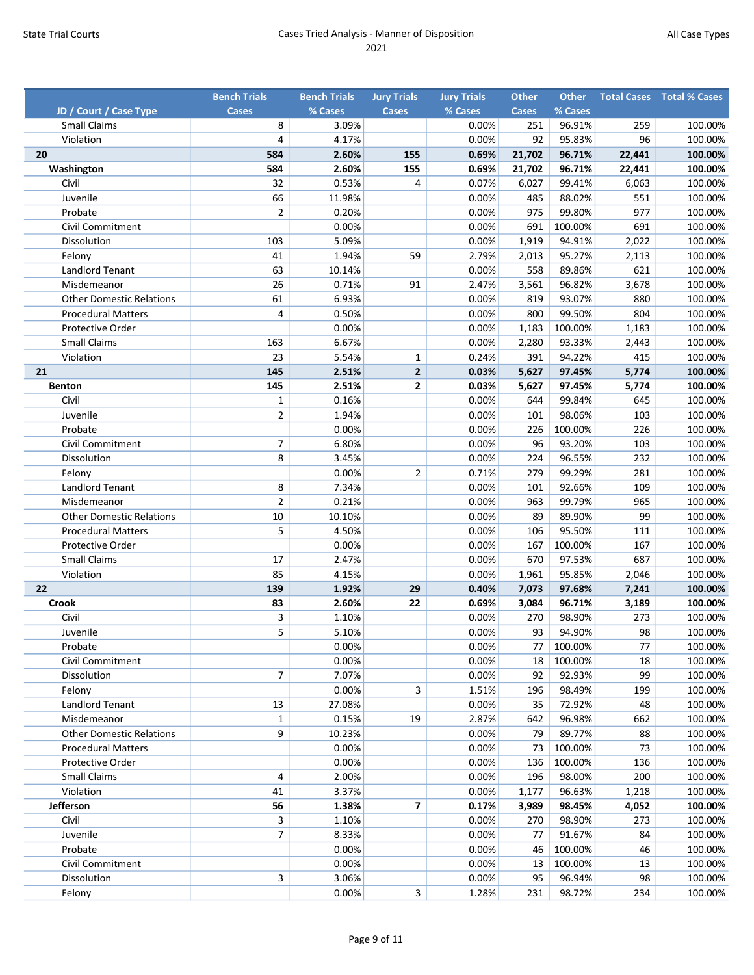|                                 | <b>Bench Trials</b> | <b>Bench Trials</b> | <b>Jury Trials</b>      | <b>Jury Trials</b> | <b>Other</b> | <b>Other</b> |        | <b>Total Cases Total % Cases</b> |
|---------------------------------|---------------------|---------------------|-------------------------|--------------------|--------------|--------------|--------|----------------------------------|
| JD / Court / Case Type          | <b>Cases</b>        | % Cases             | <b>Cases</b>            | % Cases            | <b>Cases</b> | % Cases      |        |                                  |
| <b>Small Claims</b>             | 8                   | 3.09%               |                         | 0.00%              | 251          | 96.91%       | 259    | 100.00%                          |
| Violation                       | 4                   | 4.17%               |                         | 0.00%              | 92           | 95.83%       | 96     | 100.00%                          |
| 20                              | 584                 | 2.60%               | 155                     | 0.69%              | 21,702       | 96.71%       | 22,441 | 100.00%                          |
| Washington                      | 584                 | 2.60%               | 155                     | 0.69%              | 21,702       | 96.71%       | 22,441 | 100.00%                          |
| Civil                           | 32                  | 0.53%               | 4                       | 0.07%              | 6,027        | 99.41%       | 6,063  | 100.00%                          |
| Juvenile                        | 66                  | 11.98%              |                         | 0.00%              | 485          | 88.02%       | 551    | 100.00%                          |
| Probate                         | $\overline{2}$      | 0.20%               |                         | 0.00%              | 975          | 99.80%       | 977    | 100.00%                          |
| Civil Commitment                |                     | 0.00%               |                         | 0.00%              | 691          | 100.00%      | 691    | 100.00%                          |
| Dissolution                     | 103                 | 5.09%               |                         | 0.00%              | 1,919        | 94.91%       | 2,022  | 100.00%                          |
| Felony                          | 41                  | 1.94%               | 59                      | 2.79%              | 2,013        | 95.27%       | 2,113  | 100.00%                          |
| Landlord Tenant                 | 63                  | 10.14%              |                         | 0.00%              | 558          | 89.86%       | 621    | 100.00%                          |
| Misdemeanor                     | 26                  | 0.71%               | 91                      | 2.47%              | 3,561        | 96.82%       | 3,678  | 100.00%                          |
| <b>Other Domestic Relations</b> | 61                  | 6.93%               |                         | 0.00%              | 819          | 93.07%       | 880    | 100.00%                          |
| <b>Procedural Matters</b>       | 4                   | 0.50%               |                         | 0.00%              | 800          | 99.50%       | 804    | 100.00%                          |
| <b>Protective Order</b>         |                     | 0.00%               |                         | 0.00%              | 1,183        | 100.00%      | 1,183  | 100.00%                          |
| <b>Small Claims</b>             | 163                 | 6.67%               |                         | 0.00%              | 2,280        | 93.33%       | 2,443  | 100.00%                          |
| Violation                       | 23                  | 5.54%               | $\mathbf{1}$            | 0.24%              | 391          | 94.22%       | 415    | 100.00%                          |
| 21                              | 145                 | 2.51%               | $\overline{2}$          | 0.03%              | 5,627        | 97.45%       | 5,774  | 100.00%                          |
| <b>Benton</b>                   | 145                 | 2.51%               | 2                       | 0.03%              | 5,627        | 97.45%       | 5,774  | 100.00%                          |
| Civil                           | $\mathbf{1}$        | 0.16%               |                         | 0.00%              | 644          | 99.84%       | 645    | 100.00%                          |
| Juvenile                        | $\overline{2}$      | 1.94%               |                         | 0.00%              | 101          | 98.06%       | 103    | 100.00%                          |
| Probate                         |                     | 0.00%               |                         | 0.00%              | 226          | 100.00%      | 226    | 100.00%                          |
| Civil Commitment                | $\overline{7}$      | 6.80%               |                         | 0.00%              | 96           | 93.20%       | 103    | 100.00%                          |
| Dissolution                     | 8                   | 3.45%               |                         | 0.00%              | 224          | 96.55%       | 232    | 100.00%                          |
| Felony                          |                     | 0.00%               | $\overline{2}$          | 0.71%              | 279          | 99.29%       | 281    | 100.00%                          |
| <b>Landlord Tenant</b>          | 8                   | 7.34%               |                         | 0.00%              | 101          | 92.66%       | 109    | 100.00%                          |
| Misdemeanor                     | $\mathbf 2$         | 0.21%               |                         | 0.00%              | 963          | 99.79%       | 965    | 100.00%                          |
| <b>Other Domestic Relations</b> | 10                  | 10.10%              |                         | 0.00%              | 89           | 89.90%       | 99     | 100.00%                          |
| <b>Procedural Matters</b>       | 5                   | 4.50%               |                         | 0.00%              | 106          | 95.50%       | 111    | 100.00%                          |
| <b>Protective Order</b>         |                     | 0.00%               |                         | 0.00%              | 167          | 100.00%      | 167    | 100.00%                          |
| <b>Small Claims</b>             | 17                  | 2.47%               |                         | 0.00%              | 670          | 97.53%       | 687    | 100.00%                          |
| Violation                       | 85                  | 4.15%               |                         | 0.00%              | 1,961        | 95.85%       | 2,046  | 100.00%                          |
| 22                              | 139                 | 1.92%               | 29                      | 0.40%              | 7,073        | 97.68%       | 7,241  | 100.00%                          |
| Crook                           | 83                  | 2.60%               | 22                      | 0.69%              | 3,084        | 96.71%       | 3,189  | 100.00%                          |
| Civil                           | 3                   | 1.10%               |                         | 0.00%              | 270          | 98.90%       | 273    | 100.00%                          |
| Juvenile                        | 5                   | 5.10%               |                         | 0.00%              | 93           | 94.90%       | 98     | 100.00%                          |
| Probate                         |                     | 0.00%               |                         | 0.00%              | 77           | 100.00%      | 77     | 100.00%                          |
| Civil Commitment                |                     | 0.00%               |                         | 0.00%              | 18           | 100.00%      | 18     | 100.00%                          |
| Dissolution                     | $\overline{7}$      | 7.07%               |                         | 0.00%              | 92           | 92.93%       | 99     | 100.00%                          |
| Felony                          |                     | 0.00%               | 3                       | 1.51%              | 196          | 98.49%       | 199    | 100.00%                          |
| Landlord Tenant                 | 13                  | 27.08%              |                         | 0.00%              | 35           | 72.92%       | 48     | 100.00%                          |
| Misdemeanor                     | $\mathbf{1}$        | 0.15%               | 19                      | 2.87%              | 642          | 96.98%       | 662    | 100.00%                          |
| <b>Other Domestic Relations</b> | 9                   | 10.23%              |                         | 0.00%              | 79           | 89.77%       | 88     | 100.00%                          |
| <b>Procedural Matters</b>       |                     | 0.00%               |                         | 0.00%              | 73           | 100.00%      | 73     | 100.00%                          |
| Protective Order                |                     | 0.00%               |                         | 0.00%              | 136          | 100.00%      | 136    | 100.00%                          |
| <b>Small Claims</b>             | 4                   | 2.00%               |                         | 0.00%              | 196          | 98.00%       | 200    | 100.00%                          |
| Violation                       | 41                  | 3.37%               |                         | 0.00%              | 1,177        | 96.63%       | 1,218  | 100.00%                          |
| <b>Jefferson</b>                | 56                  | 1.38%               | $\overline{\mathbf{z}}$ | 0.17%              | 3,989        | 98.45%       | 4,052  | 100.00%                          |
| Civil                           | 3                   | 1.10%               |                         | 0.00%              | 270          | 98.90%       | 273    | 100.00%                          |
| Juvenile                        | $\overline{7}$      | 8.33%               |                         | 0.00%              | 77           | 91.67%       | 84     | 100.00%                          |
| Probate                         |                     | 0.00%               |                         | 0.00%              | 46           | 100.00%      | 46     | 100.00%                          |
| Civil Commitment                |                     | 0.00%               |                         | 0.00%              | 13           | 100.00%      | 13     | 100.00%                          |
| Dissolution                     | 3                   | 3.06%               |                         | 0.00%              | 95           | 96.94%       | 98     | 100.00%                          |
| Felony                          |                     | 0.00%               | 3                       | 1.28%              | 231          | 98.72%       | 234    | 100.00%                          |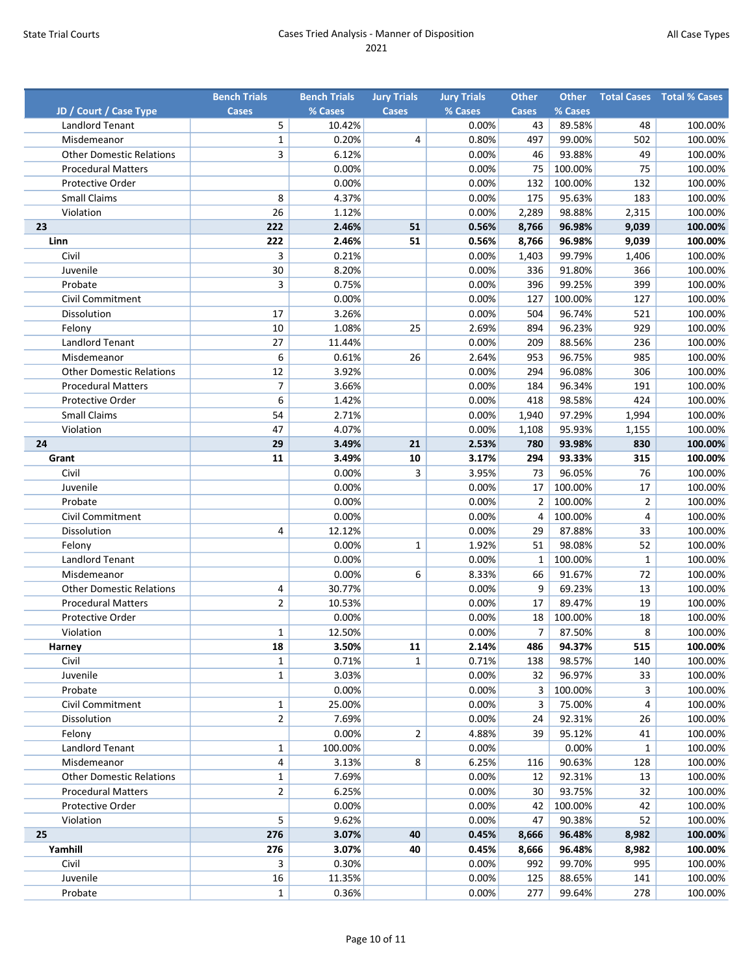|                                 | <b>Bench Trials</b> | <b>Bench Trials</b> | <b>Jury Trials</b> | <b>Jury Trials</b> | <b>Other</b>   | <b>Other</b> |              | <b>Total Cases Total % Cases</b> |
|---------------------------------|---------------------|---------------------|--------------------|--------------------|----------------|--------------|--------------|----------------------------------|
| JD / Court / Case Type          | <b>Cases</b>        | % Cases             | <b>Cases</b>       | % Cases            | <b>Cases</b>   | % Cases      |              |                                  |
| <b>Landlord Tenant</b>          | 5                   | 10.42%              |                    | 0.00%              | 43             | 89.58%       | 48           | 100.00%                          |
| Misdemeanor                     | $\mathbf{1}$        | 0.20%               | 4                  | 0.80%              | 497            | 99.00%       | 502          | 100.00%                          |
| <b>Other Domestic Relations</b> | 3                   | 6.12%               |                    | 0.00%              | 46             | 93.88%       | 49           | 100.00%                          |
| <b>Procedural Matters</b>       |                     | 0.00%               |                    | 0.00%              | 75             | 100.00%      | 75           | 100.00%                          |
| <b>Protective Order</b>         |                     | 0.00%               |                    | 0.00%              | 132            | 100.00%      | 132          | 100.00%                          |
| <b>Small Claims</b>             | 8                   | 4.37%               |                    | 0.00%              | 175            | 95.63%       | 183          | 100.00%                          |
| Violation                       | 26                  | 1.12%               |                    | 0.00%              | 2,289          | 98.88%       | 2,315        | 100.00%                          |
| 23                              | 222                 | 2.46%               | 51                 | 0.56%              | 8,766          | 96.98%       | 9,039        | 100.00%                          |
| Linn                            | 222                 | 2.46%               | 51                 | 0.56%              | 8,766          | 96.98%       | 9,039        | 100.00%                          |
| Civil                           | 3                   | 0.21%               |                    | 0.00%              | 1,403          | 99.79%       | 1,406        | 100.00%                          |
| Juvenile                        | 30                  | 8.20%               |                    | 0.00%              | 336            | 91.80%       | 366          | 100.00%                          |
| Probate                         | 3                   | 0.75%               |                    | 0.00%              | 396            | 99.25%       | 399          | 100.00%                          |
| Civil Commitment                |                     | 0.00%               |                    | 0.00%              | 127            | 100.00%      | 127          | 100.00%                          |
| Dissolution                     | 17                  | 3.26%               |                    | 0.00%              | 504            | 96.74%       | 521          | 100.00%                          |
| Felony                          | 10                  | 1.08%               | 25                 | 2.69%              | 894            | 96.23%       | 929          | 100.00%                          |
| <b>Landlord Tenant</b>          | 27                  | 11.44%              |                    | 0.00%              | 209            | 88.56%       | 236          | 100.00%                          |
| Misdemeanor                     | 6                   | 0.61%               | 26                 | 2.64%              | 953            | 96.75%       | 985          | 100.00%                          |
| <b>Other Domestic Relations</b> | 12                  | 3.92%               |                    | 0.00%              | 294            | 96.08%       | 306          | 100.00%                          |
| <b>Procedural Matters</b>       | $\overline{7}$      | 3.66%               |                    | 0.00%              | 184            | 96.34%       | 191          | 100.00%                          |
| <b>Protective Order</b>         | 6                   | 1.42%               |                    | 0.00%              | 418            | 98.58%       | 424          | 100.00%                          |
| <b>Small Claims</b>             | 54                  | 2.71%               |                    | 0.00%              | 1,940          | 97.29%       | 1,994        | 100.00%                          |
| Violation                       | 47                  | 4.07%               |                    | 0.00%              | 1,108          | 95.93%       | 1,155        | 100.00%                          |
| 24                              | 29                  | 3.49%               | 21                 | 2.53%              | 780            | 93.98%       | 830          | 100.00%                          |
| Grant                           | 11                  | 3.49%               | 10                 | 3.17%              | 294            | 93.33%       | 315          | 100.00%                          |
| Civil                           |                     | 0.00%               | 3                  | 3.95%              | 73             | 96.05%       | 76           | 100.00%                          |
| Juvenile                        |                     | 0.00%               |                    | 0.00%              | 17             | 100.00%      | 17           | 100.00%                          |
| Probate                         |                     | 0.00%               |                    | 0.00%              | 2              | 100.00%      | 2            | 100.00%                          |
| Civil Commitment                |                     | 0.00%               |                    | 0.00%              | 4              | 100.00%      | 4            | 100.00%                          |
| Dissolution                     | 4                   | 12.12%              |                    | 0.00%              | 29             | 87.88%       | 33           | 100.00%                          |
| Felony                          |                     | 0.00%               | $\mathbf{1}$       | 1.92%              | 51             | 98.08%       | 52           | 100.00%                          |
| <b>Landlord Tenant</b>          |                     | 0.00%               |                    | 0.00%              | 1              | 100.00%      | $\mathbf{1}$ | 100.00%                          |
| Misdemeanor                     |                     | 0.00%               | 6                  | 8.33%              | 66             | 91.67%       | 72           | 100.00%                          |
| <b>Other Domestic Relations</b> | 4                   | 30.77%              |                    | 0.00%              | 9              | 69.23%       | 13           | 100.00%                          |
| <b>Procedural Matters</b>       | $\overline{2}$      | 10.53%              |                    | 0.00%              | 17             | 89.47%       | 19           | 100.00%                          |
| Protective Order                |                     | 0.00%               |                    | 0.00%              | 18             | 100.00%      | 18           | 100.00%                          |
| Violation                       | $\mathbf{1}$        | 12.50%              |                    | 0.00%              | $\overline{7}$ | 87.50%       | 8            | 100.00%                          |
| Harney                          | 18                  | 3.50%               | 11                 | 2.14%              | 486            | 94.37%       | 515          | 100.00%                          |
| Civil                           | $\mathbf{1}$        | 0.71%               | 1                  | 0.71%              | 138            | 98.57%       | 140          | 100.00%                          |
| Juvenile                        | $\mathbf{1}$        | 3.03%               |                    | 0.00%              | 32             | 96.97%       | 33           | 100.00%                          |
| Probate                         |                     | 0.00%               |                    | 0.00%              | 3              | 100.00%      | 3            | 100.00%                          |
| Civil Commitment                | $\mathbf{1}$        | 25.00%              |                    | 0.00%              | 3              | 75.00%       | 4            | 100.00%                          |
| Dissolution                     | $\overline{2}$      | 7.69%               |                    | 0.00%              | 24             | 92.31%       | 26           | 100.00%                          |
| Felony                          |                     | 0.00%               | $\overline{2}$     | 4.88%              | 39             | 95.12%       | 41           | 100.00%                          |
| Landlord Tenant                 | $\mathbf{1}$        | 100.00%             |                    | 0.00%              |                | 0.00%        | 1            | 100.00%                          |
| Misdemeanor                     | 4                   | 3.13%               | 8                  | 6.25%              | 116            | 90.63%       | 128          | 100.00%                          |
| <b>Other Domestic Relations</b> | $\mathbf{1}$        | 7.69%               |                    | 0.00%              | 12             | 92.31%       | 13           | 100.00%                          |
| <b>Procedural Matters</b>       | $\overline{2}$      | 6.25%               |                    | 0.00%              | 30             | 93.75%       | 32           | 100.00%                          |
| Protective Order                |                     | 0.00%               |                    | 0.00%              | 42             | 100.00%      | 42           | 100.00%                          |
| Violation                       | 5                   | 9.62%               |                    | 0.00%              | 47             | 90.38%       | 52           | 100.00%                          |
| 25                              | 276                 | 3.07%               | 40                 | 0.45%              | 8,666          | 96.48%       | 8,982        | 100.00%                          |
| Yamhill                         | 276                 | 3.07%               | 40                 | 0.45%              | 8,666          | 96.48%       | 8,982        | 100.00%                          |
| Civil                           | 3                   | 0.30%               |                    | 0.00%              | 992            | 99.70%       | 995          | 100.00%                          |
| Juvenile                        | 16                  | 11.35%              |                    | 0.00%              | 125            | 88.65%       | 141          | 100.00%                          |
| Probate                         | $\mathbf{1}$        | 0.36%               |                    | 0.00%              | 277            | 99.64%       | 278          | 100.00%                          |